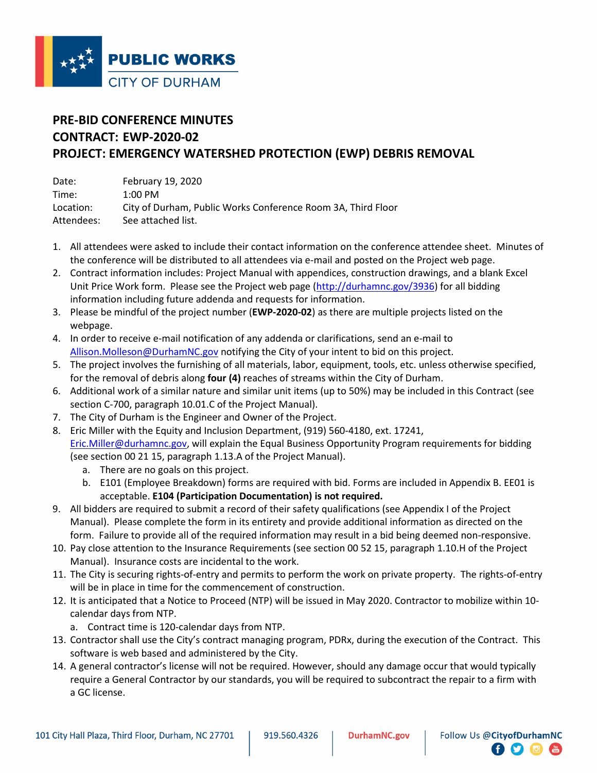

# **PRE-BID CONFERENCE MINUTES CONTRACT: EWP-2020-02 PROJECT: EMERGENCY WATERSHED PROTECTION (EWP) DEBRIS REMOVAL**

| Date:      | February 19, 2020                                            |
|------------|--------------------------------------------------------------|
| Time:      | $1:00$ PM                                                    |
| Location:  | City of Durham, Public Works Conference Room 3A, Third Floor |
| Attendees: | See attached list.                                           |

- 1. All attendees were asked to include their contact information on the conference attendee sheet. Minutes of the conference will be distributed to all attendees via e-mail and posted on the Project web page.
- 2. Contract information includes: Project Manual with appendices, construction drawings, and a blank Excel Unit Price Work form. Please see the Project web page [\(http://durhamnc.gov/3936\)](http://durhamnc.gov/3936) for all bidding information including future addenda and requests for information.
- 3. Please be mindful of the project number (**EWP-2020-02**) as there are multiple projects listed on the webpage.
- 4. In order to receive e-mail notification of any addenda or clarifications, send an e-mail to [Allison.Molleson@DurhamNC.gov](mailto:Allison.Molleson@DurhamNC.gov) notifying the City of your intent to bid on this project.
- 5. The project involves the furnishing of all materials, labor, equipment, tools, etc. unless otherwise specified, for the removal of debris along **four (4)** reaches of streams within the City of Durham.
- 6. Additional work of a similar nature and similar unit items (up to 50%) may be included in this Contract (see section C-700, paragraph 10.01.C of the Project Manual).
- 7. The City of Durham is the Engineer and Owner of the Project.
- 8. Eric Miller with the Equity and Inclusion Department, (919) 560-4180, ext. 17241, [Eric.Miller@durhamnc.gov,](mailto:Eric.Miller@durhamnc.gov) will explain the Equal Business Opportunity Program requirements for bidding (see section 00 21 15, paragraph 1.13.A of the Project Manual).
	- a. There are no goals on this project.
	- b. E101 (Employee Breakdown) forms are required with bid. Forms are included in Appendix B. EE01 is acceptable. **E104 (Participation Documentation) is not required.**
- 9. All bidders are required to submit a record of their safety qualifications (see Appendix I of the Project Manual). Please complete the form in its entirety and provide additional information as directed on the form. Failure to provide all of the required information may result in a bid being deemed non-responsive.
- 10. Pay close attention to the Insurance Requirements (see section 00 52 15, paragraph 1.10.H of the Project Manual). Insurance costs are incidental to the work.
- 11. The City is securing rights-of-entry and permits to perform the work on private property. The rights-of-entry will be in place in time for the commencement of construction.
- 12. It is anticipated that a Notice to Proceed (NTP) will be issued in May 2020. Contractor to mobilize within 10 calendar days from NTP.
	- a. Contract time is 120-calendar days from NTP.
- 13. Contractor shall use the City's contract managing program, PDRx, during the execution of the Contract. This software is web based and administered by the City.
- 14. A general contractor's license will not be required. However, should any damage occur that would typically require a General Contractor by our standards, you will be required to subcontract the repair to a firm with a GC license.

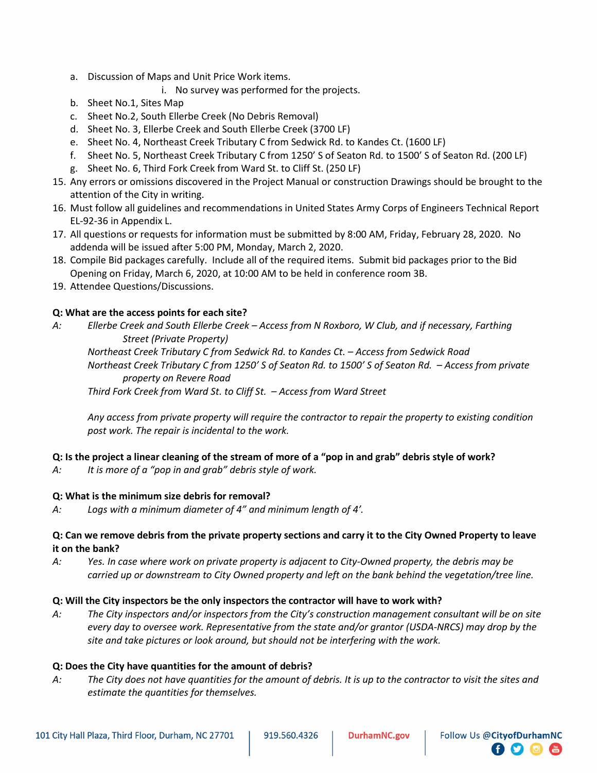- a. Discussion of Maps and Unit Price Work items.
	- i. No survey was performed for the projects.
- b. Sheet No.1, Sites Map
- c. Sheet No.2, South Ellerbe Creek (No Debris Removal)
- d. Sheet No. 3, Ellerbe Creek and South Ellerbe Creek (3700 LF)
- e. Sheet No. 4, Northeast Creek Tributary C from Sedwick Rd. to Kandes Ct. (1600 LF)
- f. Sheet No. 5, Northeast Creek Tributary C from 1250' S of Seaton Rd. to 1500' S of Seaton Rd. (200 LF)
- g. Sheet No. 6, Third Fork Creek from Ward St. to Cliff St. (250 LF)
- 15. Any errors or omissions discovered in the Project Manual or construction Drawings should be brought to the attention of the City in writing.
- 16. Must follow all guidelines and recommendations in United States Army Corps of Engineers Technical Report EL-92-36 in Appendix L.
- 17. All questions or requests for information must be submitted by 8:00 AM, Friday, February 28, 2020. No addenda will be issued after 5:00 PM, Monday, March 2, 2020.
- 18. Compile Bid packages carefully. Include all of the required items. Submit bid packages prior to the Bid Opening on Friday, March 6, 2020, at 10:00 AM to be held in conference room 3B.
- 19. Attendee Questions/Discussions.

## **Q: What are the access points for each site?**

*A: Ellerbe Creek and South Ellerbe Creek – Access from N Roxboro, W Club, and if necessary, Farthing Street (Private Property)*

*Northeast Creek Tributary C from Sedwick Rd. to Kandes Ct. – Access from Sedwick Road Northeast Creek Tributary C from 1250' S of Seaton Rd. to 1500' S of Seaton Rd. – Access from private property on Revere Road*

*Third Fork Creek from Ward St. to Cliff St. – Access from Ward Street*

*Any access from private property will require the contractor to repair the property to existing condition post work. The repair is incidental to the work.* 

## **Q: Is the project a linear cleaning of the stream of more of a "pop in and grab" debris style of work?**

*A: It is more of a "pop in and grab" debris style of work.* 

## **Q: What is the minimum size debris for removal?**

*A: Logs with a minimum diameter of 4" and minimum length of 4'.* 

## **Q: Can we remove debris from the private property sections and carry it to the City Owned Property to leave it on the bank?**

*A: Yes. In case where work on private property is adjacent to City-Owned property, the debris may be carried up or downstream to City Owned property and left on the bank behind the vegetation/tree line.* 

## **Q: Will the City inspectors be the only inspectors the contractor will have to work with?**

*A: The City inspectors and/or inspectors from the City's construction management consultant will be on site every day to oversee work. Representative from the state and/or grantor (USDA-NRCS) may drop by the site and take pictures or look around, but should not be interfering with the work.*

## **Q: Does the City have quantities for the amount of debris?**

*A: The City does not have quantities for the amount of debris. It is up to the contractor to visit the sites and estimate the quantities for themselves.* 

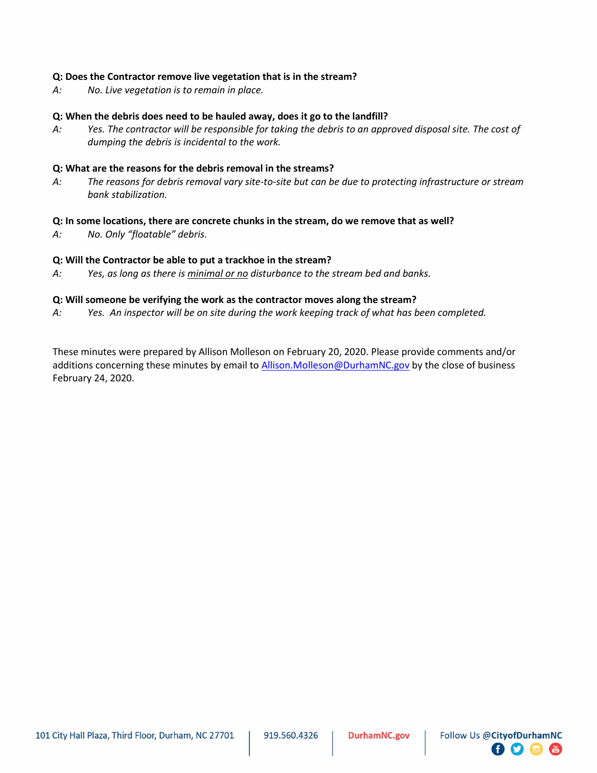#### **Q: Does the Contractor remove live vegetation that is in the stream?**

*A: No. Live vegetation is to remain in place.* 

#### **Q: When the debris does need to be hauled away, does it go to the landfill?**

*A: Yes. The contractor will be responsible for taking the debris to an approved disposal site. The cost of dumping the debris is incidental to the work.* 

#### **Q: What are the reasons for the debris removal in the streams?**

*A: The reasons for debris removal vary site-to-site but can be due to protecting infrastructure or stream bank stabilization.* 

#### **Q: In some locations, there are concrete chunks in the stream, do we remove that as well?**

*A: No. Only "floatable" debris.* 

#### **Q: Will the Contractor be able to put a trackhoe in the stream?**

*A: Yes, as long as there is minimal or no disturbance to the stream bed and banks.* 

#### **Q: Will someone be verifying the work as the contractor moves along the stream?**

*A: Yes. An inspector will be on site during the work keeping track of what has been completed.* 

These minutes were prepared by Allison Molleson on February 20, 2020. Please provide comments and/or additions concerning these minutes by email to [Allison.Molleson@DurhamNC.gov](mailto:Allison.Molleson@DurhamNC.gov) by the close of business February 24, 2020.

 $\bullet$  0  $\bullet$